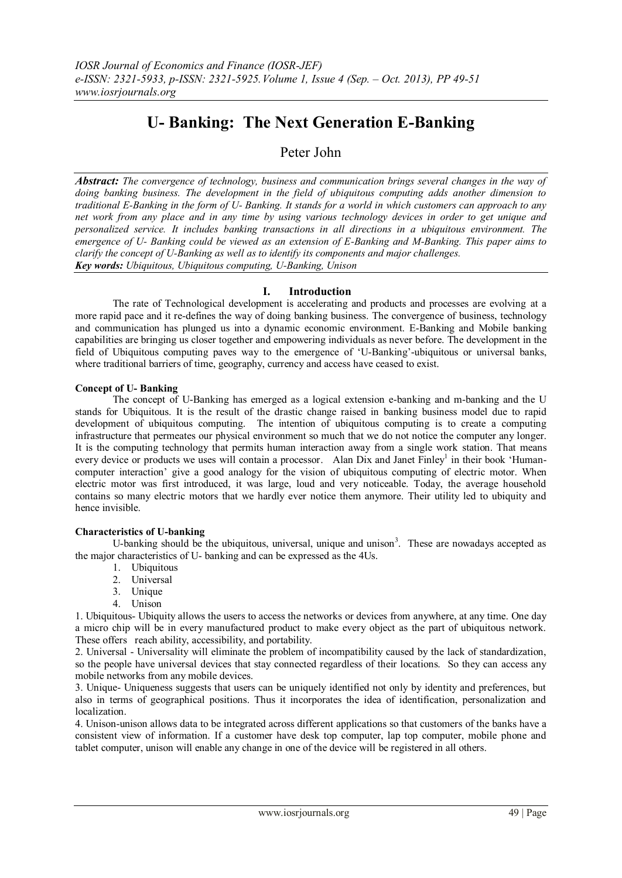# **U- Banking: The Next Generation E-Banking**

## Peter John

*Abstract: The convergence of technology, business and communication brings several changes in the way of doing banking business. The development in the field of ubiquitous computing adds another dimension to traditional E-Banking in the form of U- Banking. It stands for a world in which customers can approach to any net work from any place and in any time by using various technology devices in order to get unique and personalized service. It includes banking transactions in all directions in a ubiquitous environment. The emergence of U- Banking could be viewed as an extension of E-Banking and M-Banking. This paper aims to clarify the concept of U-Banking as well as to identify its components and major challenges. Key words: Ubiquitous, Ubiquitous computing, U-Banking, Unison*

#### **I. Introduction**

The rate of Technological development is accelerating and products and processes are evolving at a more rapid pace and it re-defines the way of doing banking business. The convergence of business, technology and communication has plunged us into a dynamic economic environment. E-Banking and Mobile banking capabilities are bringing us closer together and empowering individuals as never before. The development in the field of Ubiquitous computing paves way to the emergence of "U-Banking"-ubiquitous or universal banks, where traditional barriers of time, geography, currency and access have ceased to exist.

#### **Concept of U- Banking**

The concept of U-Banking has emerged as a logical extension e-banking and m-banking and the U stands for Ubiquitous. It is the result of the drastic change raised in banking business model due to rapid development of ubiquitous computing. The intention of ubiquitous computing is to create a computing infrastructure that permeates our physical environment so much that we do not notice the computer any longer. It is the computing technology that permits human interaction away from a single work station. That means every device or products we uses will contain a processor. Alan Dix and Janet Finley<sup>1</sup> in their book 'Humancomputer interaction" give a good analogy for the vision of ubiquitous computing of electric motor. When electric motor was first introduced, it was large, loud and very noticeable. Today, the average household contains so many electric motors that we hardly ever notice them anymore. Their utility led to ubiquity and hence invisible.

#### **Characteristics of U-banking**

U-banking should be the ubiquitous, universal, unique and unison<sup>3</sup>. These are nowadays accepted as the major characteristics of U- banking and can be expressed as the 4Us.

- 1. Ubiquitous
- 2. Universal
- 3. Unique
- 4. Unison

1. Ubiquitous- Ubiquity allows the users to access the networks or devices from anywhere, at any time. One day a micro chip will be in every manufactured product to make every object as the part of ubiquitous network. These offers reach ability, accessibility, and portability.

2. Universal - Universality will eliminate the problem of incompatibility caused by the lack of standardization, so the people have universal devices that stay connected regardless of their locations. So they can access any mobile networks from any mobile devices.

3. Unique- Uniqueness suggests that users can be uniquely identified not only by identity and preferences, but also in terms of geographical positions. Thus it incorporates the idea of identification, personalization and localization.

4. Unison-unison allows data to be integrated across different applications so that customers of the banks have a consistent view of information. If a customer have desk top computer, lap top computer, mobile phone and tablet computer, unison will enable any change in one of the device will be registered in all others.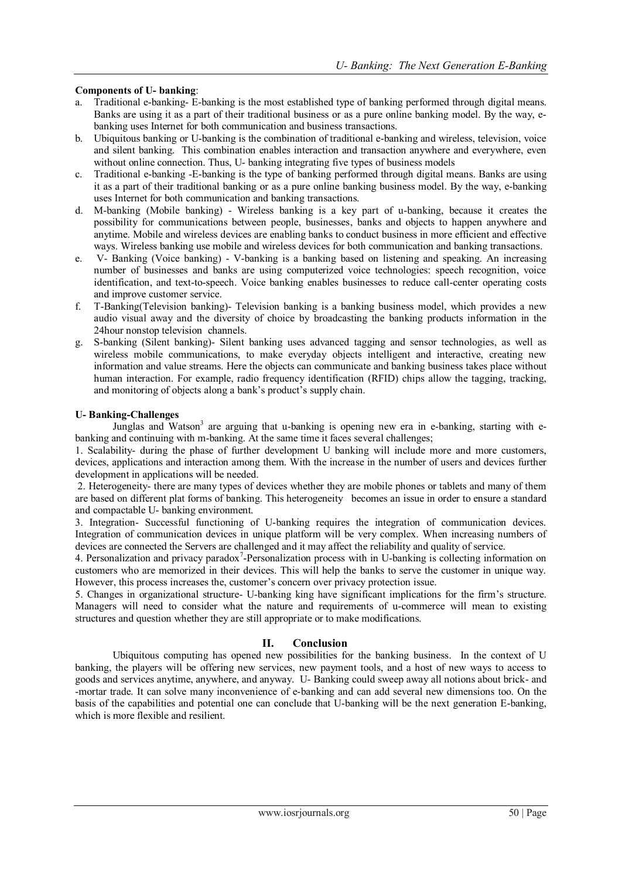### **Components of U- banking**:

- a. Traditional e-banking- E-banking is the most established type of banking performed through digital means. Banks are using it as a part of their traditional business or as a pure online banking model. By the way, ebanking uses Internet for both communication and business transactions.
- b. Ubiquitous banking or U-banking is the combination of traditional e-banking and wireless, television, voice and silent banking. This combination enables interaction and transaction anywhere and everywhere, even without online connection. Thus, U- banking integrating five types of business models
- c. Traditional e-banking -E-banking is the type of banking performed through digital means. Banks are using it as a part of their traditional banking or as a pure online banking business model. By the way, e-banking uses Internet for both communication and banking transactions.
- d. M-banking (Mobile banking) Wireless banking is a key part of u-banking, because it creates the possibility for communications between people, businesses, banks and objects to happen anywhere and anytime. Mobile and wireless devices are enabling banks to conduct business in more efficient and effective ways. Wireless banking use mobile and wireless devices for both communication and banking transactions.
- e. V- Banking (Voice banking) V-banking is a banking based on listening and speaking. An increasing number of businesses and banks are using computerized voice technologies: speech recognition, voice identification, and text-to-speech. Voice banking enables businesses to reduce call-center operating costs and improve customer service.
- f. T-Banking(Television banking)- Television banking is a banking business model, which provides a new audio visual away and the diversity of choice by broadcasting the banking products information in the 24hour nonstop television channels.
- g. S-banking (Silent banking)- Silent banking uses advanced tagging and sensor technologies, as well as wireless mobile communications, to make everyday objects intelligent and interactive, creating new information and value streams. Here the objects can communicate and banking business takes place without human interaction. For example, radio frequency identification (RFID) chips allow the tagging, tracking, and monitoring of objects along a bank's product's supply chain.

#### **U- Banking-Challenges**

Junglas and Watson<sup>3</sup> are arguing that u-banking is opening new era in e-banking, starting with ebanking and continuing with m-banking. At the same time it faces several challenges;

1. Scalability- during the phase of further development U banking will include more and more customers, devices, applications and interaction among them. With the increase in the number of users and devices further development in applications will be needed.

2. Heterogeneity- there are many types of devices whether they are mobile phones or tablets and many of them are based on different plat forms of banking. This heterogeneity becomes an issue in order to ensure a standard and compactable U- banking environment.

3. Integration- Successful functioning of U-banking requires the integration of communication devices. Integration of communication devices in unique platform will be very complex. When increasing numbers of devices are connected the Servers are challenged and it may affect the reliability and quality of service.

4. Personalization and privacy paradox<sup>7</sup>-Personalization process with in U-banking is collecting information on customers who are memorized in their devices. This will help the banks to serve the customer in unique way. However, this process increases the, customer"s concern over privacy protection issue.

5. Changes in organizational structure- U-banking king have significant implications for the firm"s structure. Managers will need to consider what the nature and requirements of u-commerce will mean to existing structures and question whether they are still appropriate or to make modifications.

#### **II. Conclusion**

Ubiquitous computing has opened new possibilities for the banking business. In the context of U banking, the players will be offering new services, new payment tools, and a host of new ways to access to goods and services anytime, anywhere, and anyway. U- Banking could sweep away all notions about brick- and -mortar trade. It can solve many inconvenience of e-banking and can add several new dimensions too. On the basis of the capabilities and potential one can conclude that U-banking will be the next generation E-banking, which is more flexible and resilient.